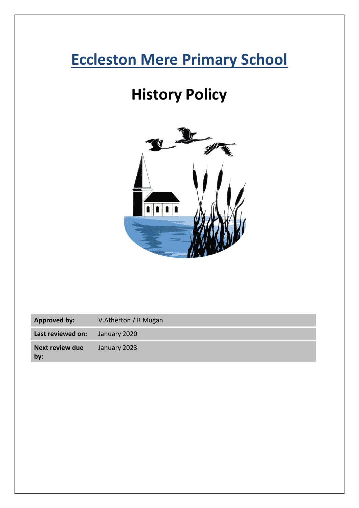# **Eccleston Mere Primary School**

# **History Policy**



| <b>Approved by:</b>           | V.Atherton / R Mugan |
|-------------------------------|----------------------|
| Last reviewed on:             | January 2020         |
| <b>Next review due</b><br>by: | January 2023         |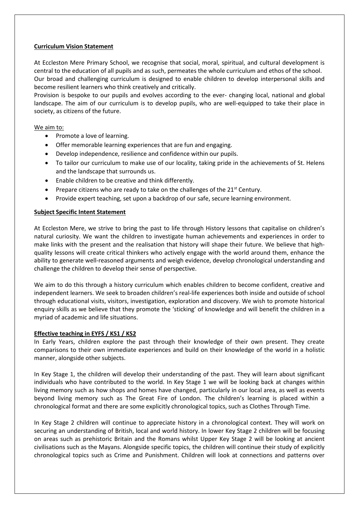# **Curriculum Vision Statement**

At Eccleston Mere Primary School, we recognise that social, moral, spiritual, and cultural development is central to the education of all pupils and as such, permeates the whole curriculum and ethos of the school. Our broad and challenging curriculum is designed to enable children to develop interpersonal skills and become resilient learners who think creatively and critically.

Provision is bespoke to our pupils and evolves according to the ever- changing local, national and global landscape. The aim of our curriculum is to develop pupils, who are well-equipped to take their place in society, as citizens of the future.

# We aim to:

- Promote a love of learning.
- Offer memorable learning experiences that are fun and engaging.
- Develop independence, resilience and confidence within our pupils.
- To tailor our curriculum to make use of our locality, taking pride in the achievements of St. Helens and the landscape that surrounds us.
- Enable children to be creative and think differently.
- Prepare citizens who are ready to take on the challenges of the 21<sup>st</sup> Century.
- Provide expert teaching, set upon a backdrop of our safe, secure learning environment.

# **Subject Specific Intent Statement**

At Eccleston Mere, we strive to bring the past to life through History lessons that capitalise on children's natural curiosity. We want the children to investigate human achievements and experiences in order to make links with the present and the realisation that history will shape their future. We believe that highquality lessons will create critical thinkers who actively engage with the world around them, enhance the ability to generate well-reasoned arguments and weigh evidence, develop chronological understanding and challenge the children to develop their sense of perspective.

We aim to do this through a history curriculum which enables children to become confident, creative and independent learners. We seek to broaden children's real-life experiences both inside and outside of school through educational visits, visitors, investigation, exploration and discovery. We wish to promote historical enquiry skills as we believe that they promote the 'sticking' of knowledge and will benefit the children in a myriad of academic and life situations.

# **Effective teaching in EYFS / KS1 / KS2**

In Early Years, children explore the past through their knowledge of their own present. They create comparisons to their own immediate experiences and build on their knowledge of the world in a holistic manner, alongside other subjects.

In Key Stage 1, the children will develop their understanding of the past. They will learn about significant individuals who have contributed to the world. In Key Stage 1 we will be looking back at changes within living memory such as how shops and homes have changed, particularly in our local area, as well as events beyond living memory such as The Great Fire of London. The children's learning is placed within a chronological format and there are some explicitly chronological topics, such as Clothes Through Time.

In Key Stage 2 children will continue to appreciate history in a chronological context. They will work on securing an understanding of British, local and world history. In lower Key Stage 2 children will be focusing on areas such as prehistoric Britain and the Romans whilst Upper Key Stage 2 will be looking at ancient civilisations such as the Mayans. Alongside specific topics, the children will continue their study of explicitly chronological topics such as Crime and Punishment. Children will look at connections and patterns over